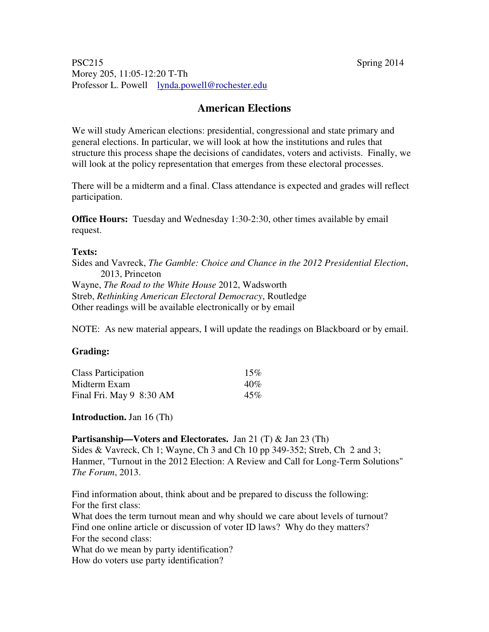#### PSC215 Spring 2014 Morey 205, 11:05-12:20 T-Th Professor L. Powell lynda.powell@rochester.edu

# **American Elections**

We will study American elections: presidential, congressional and state primary and general elections. In particular, we will look at how the institutions and rules that structure this process shape the decisions of candidates, voters and activists. Finally, we will look at the policy representation that emerges from these electoral processes.

There will be a midterm and a final. Class attendance is expected and grades will reflect participation.

**Office Hours:** Tuesday and Wednesday 1:30-2:30, other times available by email request.

#### **Texts:**

Sides and Vavreck, *The Gamble: Choice and Chance in the 2012 Presidential Election*, 2013, Princeton Wayne, *The Road to the White House* 2012, Wadsworth Streb, *Rethinking American Electoral Democracy*, Routledge Other readings will be available electronically or by email

NOTE: As new material appears, I will update the readings on Blackboard or by email.

#### **Grading:**

| <b>Class Participation</b> | 15% |
|----------------------------|-----|
| Midterm Exam               | 40% |
| Final Fri. May 9 8:30 AM   | 45% |

**Introduction.** Jan 16 (Th)

**Partisanship—Voters and Electorates.** Jan 21 (T) & Jan 23 (Th) Sides & Vavreck, Ch 1; Wayne, Ch 3 and Ch 10 pp 349-352; Streb, Ch 2 and 3; Hanmer, "Turnout in the 2012 Election: A Review and Call for Long-Term Solutions" *The Forum*, 2013.

Find information about, think about and be prepared to discuss the following: For the first class:

What does the term turnout mean and why should we care about levels of turnout? Find one online article or discussion of voter ID laws? Why do they matters? For the second class:

What do we mean by party identification?

How do voters use party identification?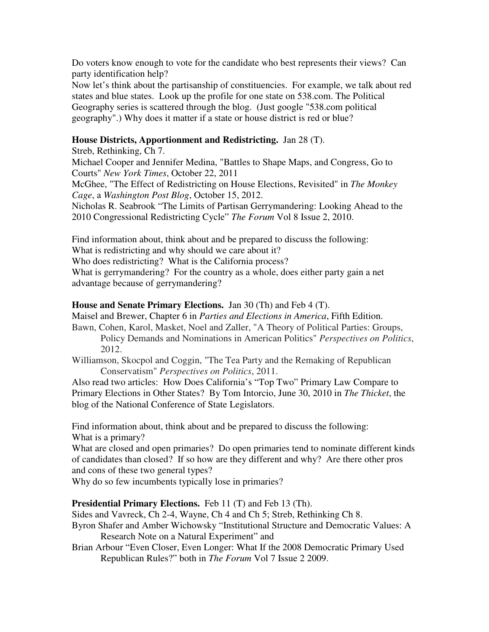Do voters know enough to vote for the candidate who best represents their views? Can party identification help?

Now let's think about the partisanship of constituencies. For example, we talk about red states and blue states. Look up the profile for one state on 538.com. The Political Geography series is scattered through the blog. (Just google "538.com political geography".) Why does it matter if a state or house district is red or blue?

### **House Districts, Apportionment and Redistricting.** Jan 28 (T).

Streb, Rethinking, Ch 7.

Michael Cooper and Jennifer Medina, "Battles to Shape Maps, and Congress, Go to Courts" *New York Times*, October 22, 2011

McGhee, "The Effect of Redistricting on House Elections, Revisited" in *The Monkey Cage*, a *Washington Post Blog*, October 15, 2012.

Nicholas R. Seabrook "The Limits of Partisan Gerrymandering: Looking Ahead to the 2010 Congressional Redistricting Cycle" *The Forum* Vol 8 Issue 2, 2010.

Find information about, think about and be prepared to discuss the following:

What is redistricting and why should we care about it?

Who does redistricting? What is the California process?

What is gerrymandering? For the country as a whole, does either party gain a net advantage because of gerrymandering?

### **House and Senate Primary Elections.** Jan 30 (Th) and Feb 4 (T).

Maisel and Brewer, Chapter 6 in *Parties and Elections in America*, Fifth Edition.

Bawn, Cohen, Karol, Masket, Noel and Zaller, "A Theory of Political Parties: Groups, Policy Demands and Nominations in American Politics" *Perspectives on Politics*, 2012.

Williamson, Skocpol and Coggin, "The Tea Party and the Remaking of Republican Conservatism" *Perspectives on Politics*, 2011.

Also read two articles: How Does California's "Top Two" Primary Law Compare to Primary Elections in Other States? By Tom Intorcio, June 30, 2010 in *The Thicket*, the blog of the National Conference of State Legislators.

Find information about, think about and be prepared to discuss the following: What is a primary?

What are closed and open primaries? Do open primaries tend to nominate different kinds of candidates than closed? If so how are they different and why? Are there other pros and cons of these two general types?

Why do so few incumbents typically lose in primaries?

## **Presidential Primary Elections.** Feb 11 (T) and Feb 13 (Th).

Sides and Vavreck, Ch 2-4, Wayne, Ch 4 and Ch 5; Streb, Rethinking Ch 8.

- Byron Shafer and Amber Wichowsky "Institutional Structure and Democratic Values: A Research Note on a Natural Experiment" and
- Brian Arbour "Even Closer, Even Longer: What If the 2008 Democratic Primary Used Republican Rules?" both in *The Forum* Vol 7 Issue 2 2009.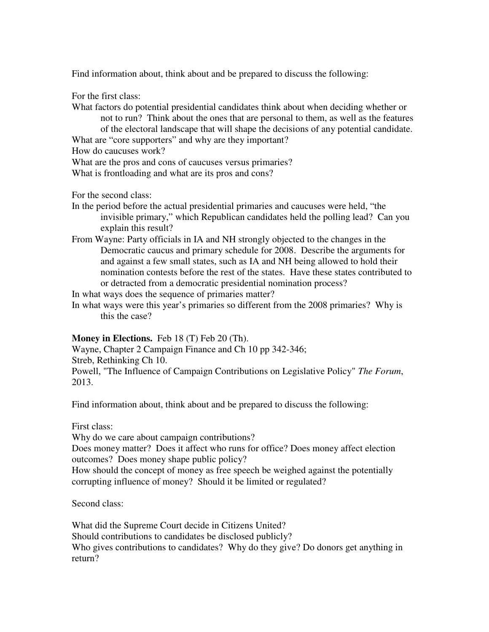Find information about, think about and be prepared to discuss the following:

For the first class:

What factors do potential presidential candidates think about when deciding whether or not to run? Think about the ones that are personal to them, as well as the features of the electoral landscape that will shape the decisions of any potential candidate. What are "core supporters" and why are they important? How do caucuses work?

What are the pros and cons of caucuses versus primaries?

What is frontloading and what are its pros and cons?

For the second class:

- In the period before the actual presidential primaries and caucuses were held, "the invisible primary," which Republican candidates held the polling lead? Can you explain this result?
- From Wayne: Party officials in IA and NH strongly objected to the changes in the Democratic caucus and primary schedule for 2008. Describe the arguments for and against a few small states, such as IA and NH being allowed to hold their nomination contests before the rest of the states. Have these states contributed to or detracted from a democratic presidential nomination process?

In what ways does the sequence of primaries matter?

In what ways were this year's primaries so different from the 2008 primaries? Why is this the case?

**Money in Elections.** Feb 18 (T) Feb 20 (Th).

Wayne, Chapter 2 Campaign Finance and Ch 10 pp 342-346; Streb, Rethinking Ch 10. Powell, "The Influence of Campaign Contributions on Legislative Policy" *The Forum*, 2013.

Find information about, think about and be prepared to discuss the following:

First class:

Why do we care about campaign contributions?

Does money matter? Does it affect who runs for office? Does money affect election outcomes? Does money shape public policy?

How should the concept of money as free speech be weighed against the potentially corrupting influence of money? Should it be limited or regulated?

Second class:

What did the Supreme Court decide in Citizens United? Should contributions to candidates be disclosed publicly? Who gives contributions to candidates? Why do they give? Do donors get anything in return?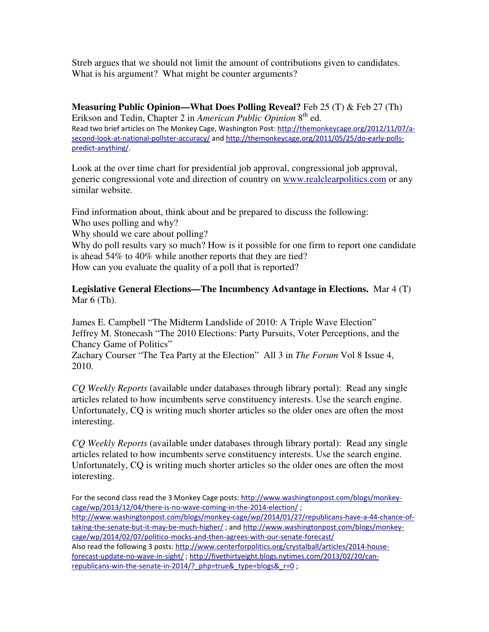Streb argues that we should not limit the amount of contributions given to candidates. What is his argument? What might be counter arguments?

**Measuring Public Opinion—What Does Polling Reveal?** Feb 25 (T) & Feb 27 (Th) Erikson and Tedin, Chapter 2 in *American Public Opinion* 8<sup>th</sup> ed. Read two brief articles on The Monkey Cage, Washington Post: http://themonkeycage.org/2012/11/07/asecond-look-at-national-pollster-accuracy/ and http://themonkeycage.org/2011/05/25/do-early-pollspredict-anything/.

Look at the over time chart for presidential job approval, congressional job approval, generic congressional vote and direction of country on www.realclearpolitics.com or any similar website.

Find information about, think about and be prepared to discuss the following: Who uses polling and why?

Why should we care about polling?

Why do poll results vary so much? How is it possible for one firm to report one candidate is ahead 54% to 40% while another reports that they are tied? How can you evaluate the quality of a poll that is reported?

**Legislative General Elections—The Incumbency Advantage in Elections.** Mar 4 (T) Mar  $6$  (Th).

James E. Campbell "The Midterm Landslide of 2010: A Triple Wave Election" Jeffrey M. Stonecash "The 2010 Elections: Party Pursuits, Voter Perceptions, and the Chancy Game of Politics"

Zachary Courser "The Tea Party at the Election" All 3 in *The Forum* Vol 8 Issue 4, 2010.

*CQ Weekly Reports* (available under databases through library portal): Read any single articles related to how incumbents serve constituency interests. Use the search engine. Unfortunately, CQ is writing much shorter articles so the older ones are often the most interesting.

*CQ Weekly Reports* (available under databases through library portal): Read any single articles related to how incumbents serve constituency interests. Use the search engine. Unfortunately, CQ is writing much shorter articles so the older ones are often the most interesting.

For the second class read the 3 Monkey Cage posts: http://www.washingtonpost.com/blogs/monkeycage/wp/2013/12/04/there-is-no-wave-coming-in-the-2014-election/ ; http://www.washingtonpost.com/blogs/monkey-cage/wp/2014/01/27/republicans-have-a-44-chance-oftaking-the-senate-but-it-may-be-much-higher/ ; and http://www.washingtonpost.com/blogs/monkeycage/wp/2014/02/07/politico-mocks-and-then-agrees-with-our-senate-forecast/ Also read the following 3 posts: http://www.centerforpolitics.org/crystalball/articles/2014-houseforecast-update-no-wave-in-sight/ ; http://fivethirtyeight.blogs.nytimes.com/2013/02/20/canrepublicans-win-the-senate-in-2014/? php=true& type=blogs& r=0 ;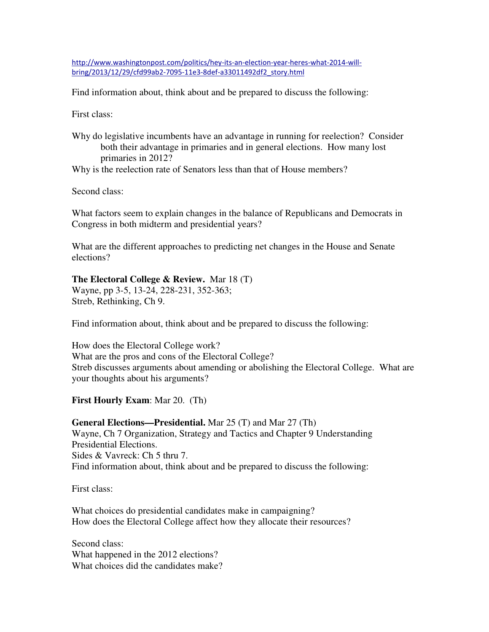http://www.washingtonpost.com/politics/hey-its-an-election-year-heres-what-2014-willbring/2013/12/29/cfd99ab2-7095-11e3-8def-a33011492df2\_story.html

Find information about, think about and be prepared to discuss the following:

First class:

Why do legislative incumbents have an advantage in running for reelection? Consider both their advantage in primaries and in general elections. How many lost primaries in 2012?

Why is the reelection rate of Senators less than that of House members?

Second class:

What factors seem to explain changes in the balance of Republicans and Democrats in Congress in both midterm and presidential years?

What are the different approaches to predicting net changes in the House and Senate elections?

## **The Electoral College & Review.** Mar 18 (T)

Wayne, pp 3-5, 13-24, 228-231, 352-363; Streb, Rethinking, Ch 9.

Find information about, think about and be prepared to discuss the following:

How does the Electoral College work? What are the pros and cons of the Electoral College? Streb discusses arguments about amending or abolishing the Electoral College. What are your thoughts about his arguments?

**First Hourly Exam**: Mar 20. (Th)

**General Elections—Presidential.** Mar 25 (T) and Mar 27 (Th) Wayne, Ch 7 Organization, Strategy and Tactics and Chapter 9 Understanding Presidential Elections. Sides & Vavreck: Ch 5 thru 7. Find information about, think about and be prepared to discuss the following:

First class:

What choices do presidential candidates make in campaigning? How does the Electoral College affect how they allocate their resources?

Second class: What happened in the 2012 elections? What choices did the candidates make?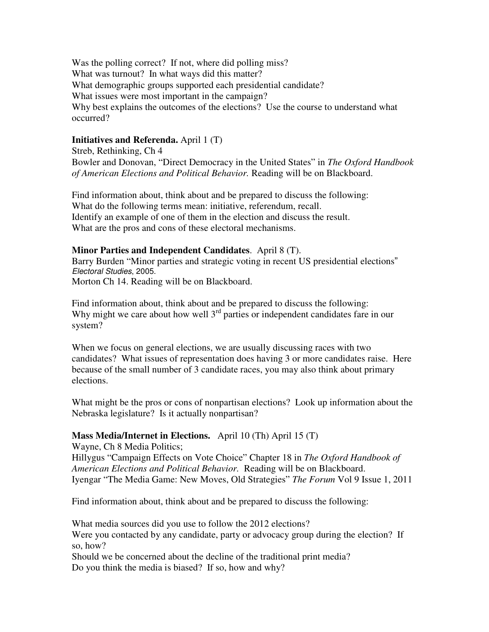Was the polling correct? If not, where did polling miss? What was turnout? In what ways did this matter? What demographic groups supported each presidential candidate? What issues were most important in the campaign? Why best explains the outcomes of the elections? Use the course to understand what occurred?

#### **Initiatives and Referenda.** April 1 (T)

Streb, Rethinking, Ch 4 Bowler and Donovan, "Direct Democracy in the United States" in *The Oxford Handbook of American Elections and Political Behavior.* Reading will be on Blackboard.

Find information about, think about and be prepared to discuss the following: What do the following terms mean: initiative, referendum, recall. Identify an example of one of them in the election and discuss the result. What are the pros and cons of these electoral mechanisms.

#### **Minor Parties and Independent Candidates**. April 8 (T).

Barry Burden "Minor parties and strategic voting in recent US presidential elections" Electoral Studies, 2005. Morton Ch 14. Reading will be on Blackboard.

Find information about, think about and be prepared to discuss the following: Why might we care about how well  $3<sup>rd</sup>$  parties or independent candidates fare in our system?

When we focus on general elections, we are usually discussing races with two candidates? What issues of representation does having 3 or more candidates raise. Here because of the small number of 3 candidate races, you may also think about primary elections.

What might be the pros or cons of nonpartisan elections? Look up information about the Nebraska legislature? Is it actually nonpartisan?

#### **Mass Media/Internet in Elections.** April 10 (Th) April 15 (T)

Wayne, Ch 8 Media Politics;

Hillygus "Campaign Effects on Vote Choice" Chapter 18 in *The Oxford Handbook of American Elections and Political Behavior.* Reading will be on Blackboard. Iyengar "The Media Game: New Moves, Old Strategies" *The Forum* Vol 9 Issue 1, 2011

Find information about, think about and be prepared to discuss the following:

What media sources did you use to follow the 2012 elections? Were you contacted by any candidate, party or advocacy group during the election? If so, how?

Should we be concerned about the decline of the traditional print media? Do you think the media is biased? If so, how and why?